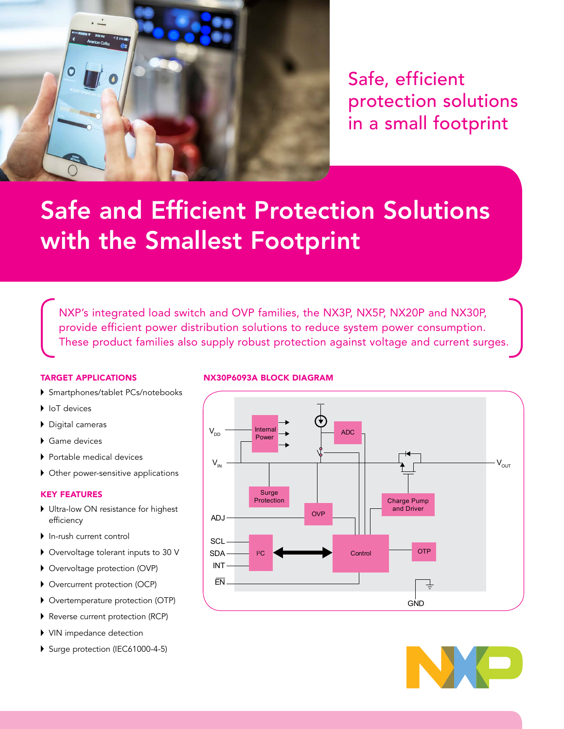

Safe, efficient protection solutions in a small footprint

# Safe and Efficient Protection Solutions with the Smallest Footprint

NXP's integrated load switch and OVP families, the NX3P, NX5P, NX20P and NX30P, provide efficient power distribution solutions to reduce system power consumption. These product families also supply robust protection against voltage and current surges.

## TARGET APPLICATIONS

- Smartphones/tablet PCs/notebooks
- IoT devices
- Digital cameras
- ▶ Game devices
- Portable medical devices
- Other power-sensitive applications

## KEY FEATURES

- ▶ Ultra-low ON resistance for highest efficiency
- In-rush current control
- Overvoltage tolerant inputs to 30 V
- Overvoltage protection (OVP)
- Overcurrent protection (OCP)
- Overtemperature protection (OTP)
- Reverse current protection (RCP)
- VIN impedance detection
- Surge protection (IEC61000-4-5)

## NX30P6093A BLOCK DIAGRAM